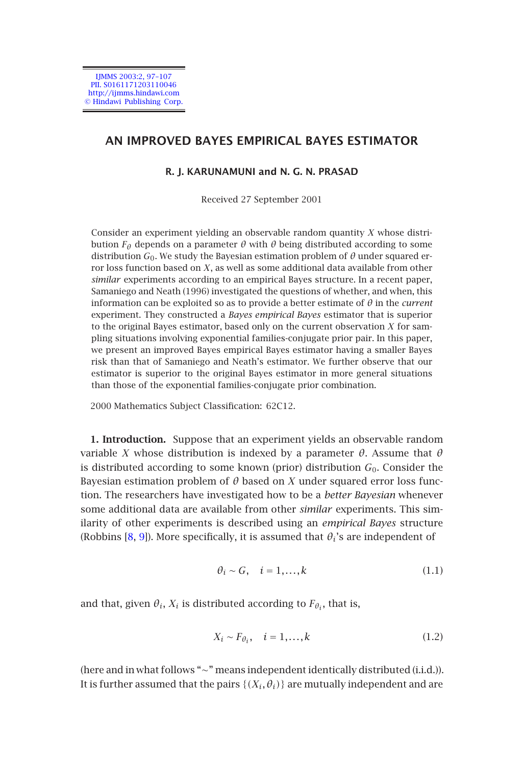

# **AN IMPROVED BAYES EMPIRICAL BAYES ESTIMATOR**

### **R. J. KARUNAMUNI and N. G. N. PRASAD**

Received 27 September 2001

Consider an experiment yielding an observable random quantity *X* whose distribution *Fθ* depends on a parameter *θ* with *θ* being distributed according to some distribution  $G_0$ . We study the Bayesian estimation problem of  $\theta$  under squared error loss function based on *X*, as well as some additional data available from other *similar* experiments according to an empirical Bayes structure. In a recent paper, Samaniego and Neath (1996) investigated the questions of whether, and when, this information can be exploited so as to provide a better estimate of *θ* in the *current* experiment. They constructed a *Bayes empirical Bayes* estimator that is superior to the original Bayes estimator, based only on the current observation *X* for sampling situations involving exponential families-conjugate prior pair. In this paper, we present an improved Bayes empirical Bayes estimator having a smaller Bayes risk than that of Samaniego and Neath's estimator. We further observe that our estimator is superior to the original Bayes estimator in more general situations than those of the exponential families-conjugate prior combination.

2000 Mathematics Subject Classification: 62C12.

**1. Introduction.** Suppose that an experiment yields an observable random variable *X* whose distribution is indexed by a parameter  $\theta$ . Assume that  $\theta$ is distributed according to some known (prior) distribution *G*0. Consider the Bayesian estimation problem of  $\theta$  based on *X* under squared error loss function. The researchers have investigated how to be a *better Bayesian* whenever some additional data are available from other *similar* experiments. This similarity of other experiments is described using an *empirical Bayes* structure (Robbins  $[8, 9]$ ). More specifically, it is assumed that  $\theta_i$ 's are independent of

$$
\theta_i \sim G, \quad i = 1, \dots, k \tag{1.1}
$$

and that, given  $\theta_i$ ,  $X_i$  is distributed according to  $F_{\theta_i}$ , that is,

$$
X_i \sim F_{\theta_i}, \quad i = 1, \dots, k \tag{1.2}
$$

(here and in what follows "∼" means independent identically distributed (i.i.d.)). It is further assumed that the pairs  $\{(X_i, \theta_i)\}\$  are mutually independent and are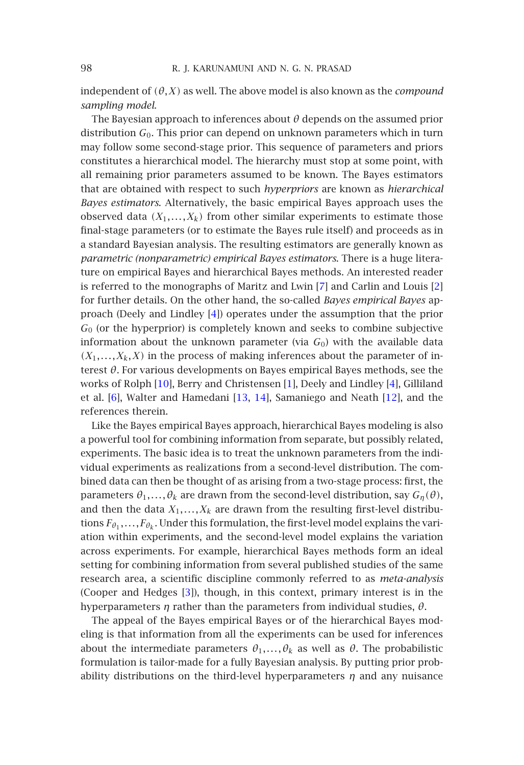independent of  $(\theta, X)$  as well. The above model is also known as the *compound sampling model*.

The Bayesian approach to inferences about *θ* depends on the assumed prior distribution *G*0. This prior can depend on unknown parameters which in turn may follow some second-stage prior. This sequence of parameters and priors constitutes a hierarchical model. The hierarchy m[ust](#page-9-0) stop at some point, w[ith](#page-9-1) all remaining prior parameters assumed to be known. The Bayes estimators that are obtained with resp[ec](#page-9-2)t to such *hyperpriors* are known as *hierarchical Bayes estimators*. Alternatively, the basic empirical Bayes approach uses the observed data  $(X_1,...,X_k)$  from other similar experiments to estimate those final-stage parameters (or to estimate the Bayes rule itself) and proceeds as in a standard Bayesian analysis. The resulting estimators are generally known as *parametric (non[par](#page-9-3)ametric) empirical Baye[s e](#page-9-4)stimators*. There is a [h](#page-9-2)uge literature o[n e](#page-9-5)mpirical Bayes and hier[arch](#page-10-0)[ical](#page-10-1) Bayes methods. An inte[rest](#page-10-2)ed reader is referred to the monographs of Maritz and Lwin [7] and Carlin and Louis [2] for further details. On the other hand, the so-called *Bayes empirical Bayes* approach (Deely and Lindley [4]) operates under the assumption that the prior *G*<sup>0</sup> (or the hyperprior) is completely known and seeks to combine subjective information about the unknown parameter (via  $G<sub>0</sub>$ ) with the available data  $(X_1, \ldots, X_k, X)$  in the process of making inferences about the parameter of interest *θ*. For various developments on Bayes empirical Bayes methods, see the works of Rolph [10], Berry and Christensen [1], Deely and Lindley [4], Gilliland et al. [6], Walter and Hamedani [13, 14], Samaniego and Neath [12], and the references therein.

Like the Bayes empirical Bayes approach, hierarchical Bayes modeling is also a powerful tool for combining information from separate, but possibly related, experiments. The basic idea is to treat the unknown parameters from the individual experiments as [re](#page-9-6)alizations from a second-level distribution. The combined data can then be thought of as arising from a two-stage process: first, the parameters  $\theta_1, \ldots, \theta_k$  are drawn from the second-level distribution, say  $G_n(\theta)$ , and then the data  $X_1, \ldots, X_k$  are drawn from the resulting first-level distributions  $F_{\theta_1}, \ldots, F_{\theta_k}$ . Under this formulation, the first-level model explains the variation within experiments, and the second-level model explains the variation across experiments. For example, hierarchical Bayes methods form an ideal setting for combining information from several published studies of the same research area, a scientific discipline commonly referred to as *meta-analysis* (Cooper and Hedges [3]), though, in this context, primary interest is in the hyperparameters *η* rather than the parameters from individual studies, *θ*.

The appeal of the Bayes empirical Bayes or of the hierarchical Bayes modeling is that information from all the experiments can be used for inferences about the intermediate parameters  $\theta_1, \ldots, \theta_k$  as well as  $\theta$ . The probabilistic formulation is tailor-made for a fully Bayesian analysis. By putting prior probability distributions on the third-level hyperparameters *η* and any nuisance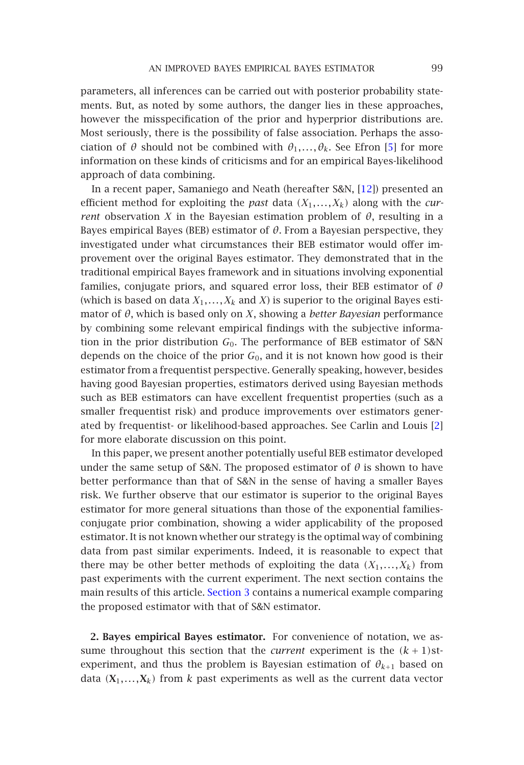### AN IMPROVED BAYES EMPIRICAL BAYES ESTIMA[TOR](#page-10-2) 99

parameters, all inferences can be carried out with posterior probability statements. But, as noted by some authors, the danger lies in these approaches, however the misspecification of the prior and hyperprior distributions are. Most seriously, there is the possibility of false association. Perhaps the association of  $\theta$  should not be combined with  $\theta_1, \ldots, \theta_k$ . See Efron [5] for more information on these kinds of criticisms and for an empirical Bayes-likelihood approach of data combining.

In a recent paper, Samaniego and Neath (hereafter S&N, [12]) presented an efficient method for exploiting the *past* data  $(X_1, \ldots, X_k)$  along with the *current* observation *X* in the Bayesian estimation problem of  $\theta$ , resulting in a Bayes empirical Bayes (BEB) estimator of *θ*. From a Bayesian perspective, they investigated under what circumstances their BEB estimator would offer improvement over the original Bayes estimator. They demonstrated that in the traditional empirical Bayes framework and in situations involving exponential families, conjugate priors, and squared error loss, their BEB estimator of *θ* (which is based on data  $X_1, \ldots, X_k$  and *X*) is superior to the original Bayes e[sti](#page-9-1)mator of *θ*, which is based only on *X*, showing a *better Bayesian* performance by combining some relevant empirical findings with the subjective information in the prior distribution  $G_0$ . The performance of BEB estimator of S&N depends on the choice of the prior *G*0, and it is not known how good is their estimator from a frequentist perspective. Generally speaking, however, besides having good Bayesian properties, estimators derived using Bayesian methods such as BEB estimators can have excellent frequentist properties (such as a smaller frequentist risk) and produce improvements over estimators generated by frequentist- or likelihood-based approaches. See Carlin and Louis [2] for more elaborate discussion on this point.

In this paper, we present another potentially useful BEB estimator developed under the same setup of S[&N. The p](#page-8-0)roposed estimator of  $\theta$  is shown to have better performance than that of S&N in the sense of having a smaller Bayes risk. We further observe that our estimator is superior to the original Bayes estimator for more general situations than those of the exponential familiesconjugate prior combination, showing a wider applicability of the proposed estimator. It is not known whether our strategy is the optimal way of combining data from past similar experiments. Indeed, it is reasonable to expect that there may be other better methods of exploiting the data  $(X_1, \ldots, X_k)$  from past experiments with the current experiment. The next section contains the main results of this article. Section 3 contains a numerical example comparing the proposed estimator with that of S&N estimator.

**2. Bayes empirical Bayes estimator.** For convenience of notation, we assume throughout this section that the *current* experiment is the  $(k+1)$ stexperiment, and thus the problem is Bayesian estimation of  $\theta_{k+1}$  based on data  $(X_1,...,X_k)$  from *k* past experiments as well as the current data vector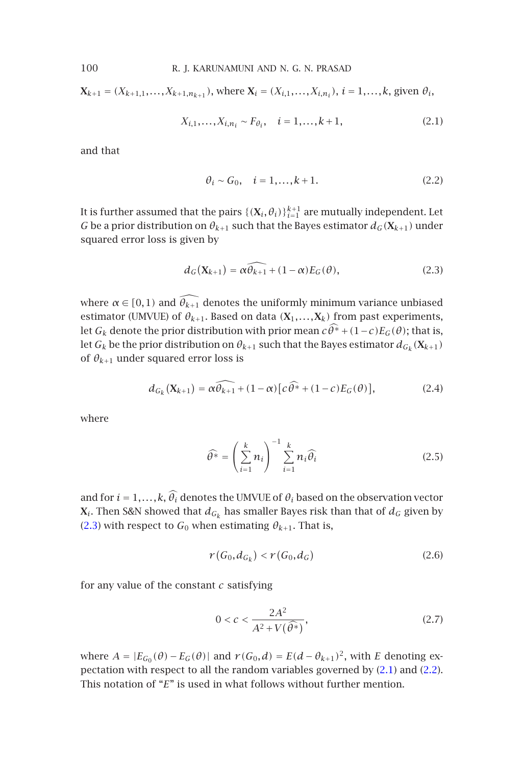$X_{k+1} = (X_{k+1,1},...,X_{k+1,n_{k+1}})$ , where  $X_i = (X_{i,1},...,X_{i,n_i})$ ,  $i = 1,...,k$ , given  $\theta_i$ ,

<span id="page-3-0"></span>
$$
X_{i,1}, \dots, X_{i,n_i} \sim F_{\theta_i}, \quad i = 1, \dots, k+1,\tag{2.1}
$$

and that

<span id="page-3-1"></span>
$$
\theta_i \sim G_0, \quad i = 1, \dots, k+1. \tag{2.2}
$$

It is further assumed that the pairs  $\{(\mathbf{X}_i,\theta_i)\}_{i=1}^{k+1}$  are mutually independent. Let *G* be a prior distribution on  $\theta_{k+1}$  such that the Bayes estimator  $d_G(\mathbf{X}_{k+1})$  under squared error loss is given by

$$
d_G(\mathbf{X}_{k+1}) = \alpha \widehat{\theta_{k+1}} + (1 - \alpha) E_G(\theta), \qquad (2.3)
$$

where  $\alpha \in [0,1)$  and  $\widehat{\theta_{k+1}}$  denotes the uniformly minimum variance unbiased estimator (UMVUE) of  $\theta_{k+1}$ . Based on data  $(X_1,...,X_k)$  from past experiments, let  $G_k$  denote the prior distribution with prior mean  $c\widehat{\theta^*} + (1-c)E_G(\theta)$ ; that is, let *G<sub>k</sub>* be the prior distribution on  $\theta_{k+1}$  such that the Bayes estimator  $d_{G_k}(\mathbf{X}_{k+1})$ of  $\theta_{k+1}$  under squared error loss is

$$
d_{G_k}(\mathbf{X}_{k+1}) = \alpha \widehat{\theta_{k+1}} + (1 - \alpha) \big[ c \widehat{\theta^*} + (1 - c) E_G(\theta) \big],\tag{2.4}
$$

where

$$
\widehat{\theta^*} = \left(\sum_{i=1}^k n_i\right)^{-1} \sum_{i=1}^k n_i \widehat{\theta_i}
$$
 (2.5)

and for  $i = 1, ..., k$ ,  $\widehat{\theta}_i$  denotes the UMVUE of  $\theta_i$  based on the observation vector **X**<sub>*i*</sub>. Then S&N showed that  $d_{G_k}$  has smaller Bayes risk than that of  $d_G$  given by (2.3) with respect to  $G_0$  when estimating  $\theta_{k+1}$ . That is,

$$
r(G_0, d_{G_k}) < r(G_0, d_G) \tag{2.6}
$$

for any value of the constant *c* satisfying

$$
0 < c < \frac{2A^2}{A^2 + V(\widehat{\theta^*})},\tag{2.7}
$$

where  $A = |E_{G_0}(\theta) - E_G(\theta)|$  and  $r(G_0, d) = E(d - \theta_{k+1})^2$ , with *E* denoting expectation with respect to all the random variables governed by (2.1) and (2.2). This notation of "*E*" is used in what follows without further mention.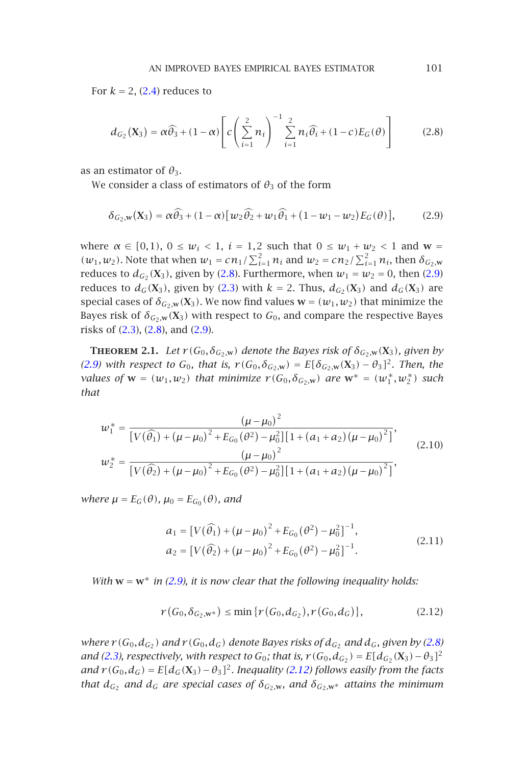#### <span id="page-4-1"></span><span id="page-4-0"></span>AN IMPROVED BAYES EMPIRICAL BAYES ESTIMATOR 101

For  $k = 2$ , (2.4) reduces to

$$
d_{G_2}(\mathbf{X}_3) = \alpha \widehat{\theta}_3 + (1 - \alpha) \left[ c \left( \sum_{i=1}^2 n_i \right)^{-1} \sum_{i=1}^2 n_i \widehat{\theta}_i + (1 - c) E_G(\theta) \right]
$$
(2.8)

<span id="page-4-3"></span>as an estimator of  $\theta_3$ .

We consider a class of estimators of  $\theta_3$  of the form

$$
\delta_{G_2,\mathbf{w}}(\mathbf{X}_3) = \alpha \widehat{\theta}_3 + (1 - \alpha) \big[ w_2 \widehat{\theta}_2 + w_1 \widehat{\theta}_1 + (1 - w_1 - w_2) E_G(\theta) \big],\tag{2.9}
$$

[whe](#page-4-1)re *α* ∈ [0,1), 0 ≤ *w*<sub>*i*</sub> < 1, *i* = 1,2 such that 0 ≤ *w*<sub>1</sub> + *w*<sub>2</sub> < 1 and **w** =  $(w_1, w_2)$ . Note that when  $w_1 = cn_1 / \sum_{i=1}^2 n_i$  and  $w_2 = cn_2 / \sum_{i=1}^2 n_i$ , then  $\delta_{G_2,w_1}$ reduces to  $d_{G_2}(\mathbf{X}_3)$ , given by (2.8). Furthermore, when  $w_1 = w_2 = 0$ , then (2.9) reduces to  $d_G(\mathbf{X}_3)$ , given by (2.3) with  $k = 2$ . Thus,  $d_{G_2}(\mathbf{X}_3)$  and  $d_G(\mathbf{X}_3)$  are special cases of  $\delta_{G_2, \mathbf{w}}(\mathbf{X}_3)$ . We now find values  $\mathbf{w} = (w_1, w_2)$  that minimize the Bayes risk of  $\delta_{G_2,W}(\mathbf{X}_3)$  with respect to  $G_0$ , and compare the respective Bayes risks of (2.3), (2.8), and (2.9).

**THEOREM 2.1.** *Let*  $r(G_0, \delta_{G_2, \mathbf{w}})$  *denote the Bayes risk of*  $\delta_{G_2, \mathbf{w}}(\mathbf{X}_3)$ *, given by (2.9)* with respect to *G*<sub>0</sub>*,* that is,  $r$  (*G*<sub>0</sub>*,δ*<sub>*G*<sub>2</sub>,w</sub></del>) = *E*[ $δ$ <sub>*G*<sub>2</sub>,w</sub>(**X**<sub>3</sub>) −  $θ$ <sub>3</sub>]<sup>2</sup>*. Then, the values of*  $w = (w_1, w_2)$  *that minimize*  $r(G_0, \delta_{G_2, w})$  *are*  $w^* = (w_1^*, w_2^*)$  *such that*

$$
w_1^* = \frac{(\mu - \mu_0)^2}{\left[V(\widehat{\theta_1}) + (\mu - \mu_0)^2 + E_{G_0}(\theta^2) - \mu_0^2\right]\left[1 + (a_1 + a_2)(\mu - \mu_0)^2\right]},
$$
  
\n
$$
w_2^* = \frac{(\mu - \mu_0)^2}{\left[V(\widehat{\theta_2}) + (\mu - \mu_0)^2 + E_{G_0}(\theta^2) - \mu_0^2\right]\left[1 + (a_1 + a_2)(\mu - \mu_0)^2\right]},
$$
\n(2.10)

*where*  $\mu = E_G(\theta)$ *,*  $\mu_0 = E_{G_0}(\theta)$ *, and* 

<span id="page-4-2"></span>
$$
a_1 = [V(\widehat{\theta}_1) + (\mu - \mu_0)^2 + E_{G_0}(\theta^2) - \mu_0^2]^{-1},
$$
  
\n
$$
a_2 = [V(\widehat{\theta}_2) + (\mu - \mu_0)^2 + E_{G_0}(\theta^2) - \mu_0^2]^{-1}.
$$
\n(2.11)

*With*  $w = w^*$  *in (2.9), it is now clear that the following inequality holds:* 

$$
r(G_0, \delta_{G_2, \mathbf{w}^*}) \le \min \{r(G_0, d_{G_2}), r(G_0, d_G)\},\tag{2.12}
$$

*where*  $r(G_0, d_{G_2})$  *and*  $r(G_0, d_G)$  *denote Bayes risks of*  $d_{G_2}$  *and*  $d_G$ *, given by (2.8) and (2.3), respectively, with respect to*  $G_0$ *; that is,*  $r(G_0, d_{G_2}) = E[d_{G_2}(X_3) - \theta_3]^2$ *and*  $r(G_0, d_G) = E[d_G(X_3) - \theta_3]^2$ . Inequality (2.12) follows easily from the facts *that*  $d_{G_2}$  *and*  $d_G$  *are special cases of*  $\delta_{G_2,w}$ *, and*  $\delta_{G_2,w^*}$  *attains the minimum*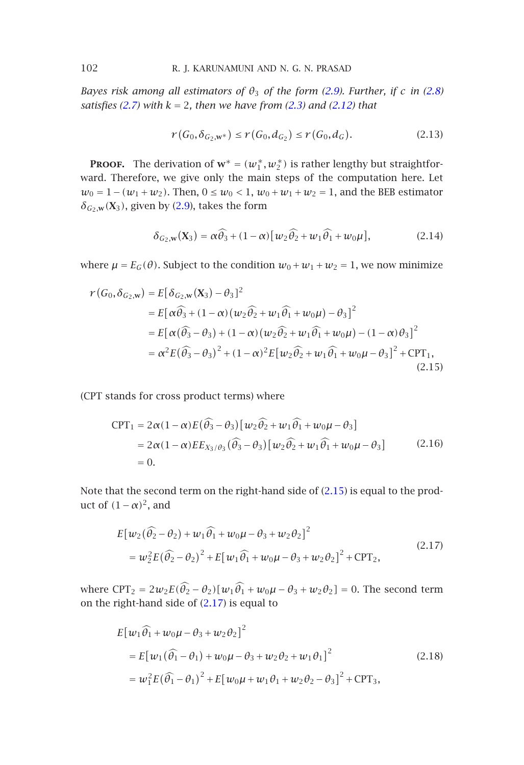*Bayes risk among a[ll](#page-4-1) [es](#page-4-1)timators of*  $\theta_3$  *of the form (2.9). Further, if c in (2.8) satisfies (2.7) with k* = 2*, then we have from (2.3) and (2.12) that*

$$
r(G_0, \delta_{G_2, \mathbf{w}^*}) \le r(G_0, d_{G_2}) \le r(G_0, d_G). \tag{2.13}
$$

**PROOF.** The derivation of  $w^* = (w_1^*, w_2^*)$  is rather lengthy but straightforward. Therefore, we give only the main steps of the computation here. Let *w*<sub>0</sub> = 1 − (*w*<sub>1</sub> + *w*<sub>2</sub>). Then, 0 ≤ *w*<sub>0</sub> < 1, *w*<sub>0</sub> + *w*<sub>1</sub> + *w*<sub>2</sub> = 1, and the BEB estimator  $\delta_{G_2, \mathbf{w}}(\mathbf{X}_3)$ , given by (2.9), takes the form

$$
\delta_{G_2,\mathbf{w}}(\mathbf{X}_3) = \alpha \widehat{\theta}_3 + (1 - \alpha) \left[ w_2 \widehat{\theta}_2 + w_1 \widehat{\theta}_1 + w_0 \mu \right],\tag{2.14}
$$

where  $\mu = E_G(\theta)$ . Subject to the condition  $w_0 + w_1 + w_2 = 1$ , we now minimize

$$
r(G_0, \delta_{G_2, w}) = E[\delta_{G_2, w}(X_3) - \theta_3]^2
$$
  
\n
$$
= E[\alpha \widehat{\theta}_3 + (1 - \alpha)(w_2 \widehat{\theta}_2 + w_1 \widehat{\theta}_1 + w_0 \mu) - \theta_3]^2
$$
  
\n
$$
= E[\alpha(\widehat{\theta}_3 - \theta_3) + (1 - \alpha)(w_2 \widehat{\theta}_2 + w_1 \widehat{\theta}_1 + w_0 \mu) - (1 - \alpha)\theta_3]^2
$$
  
\n
$$
= \alpha^2 E(\widehat{\theta}_3 - \theta_3)^2 + (1 - \alpha)^2 E[w_2 \widehat{\theta}_2 + w_1 \widehat{\theta}_1 + w_0 \mu - \theta_3]^2 + \text{CPT}_1,
$$
  
\n(2.15)

(CPT stands for cross product terms) where

$$
CPT_1 = 2\alpha(1 - \alpha)E(\widehat{\theta}_3 - \theta_3)[w_2\widehat{\theta}_2 + w_1\widehat{\theta}_1 + w_0\mu - \theta_3]
$$
  
= 2\alpha(1 - \alpha)EE<sub>X<sub>3</sub>/\theta<sub>3</sub></sub>( $\widehat{\theta}_3$  -  $\theta_3)$  [ $w_2\widehat{\theta}_2$  +  $w_1\widehat{\theta}_1$  +  $w_0\mu$  -  $\theta_3$ ]  
= 0. (2.16)

Note that the second term on the right-hand side of (2.15) is equal to the product of  $(1 − α)^2$ , and

$$
E[w_2(\widehat{\theta}_2 - \theta_2) + w_1 \widehat{\theta}_1 + w_0 \mu - \theta_3 + w_2 \theta_2]^2
$$
  
=  $w_2^2 E(\widehat{\theta}_2 - \theta_2)^2 + E[w_1 \widehat{\theta}_1 + w_0 \mu - \theta_3 + w_2 \theta_2]^2 + \text{CPT}_2,$  (2.17)

where  $CPT_2 = 2w_2E(\hat{\theta}_2 - \theta_2)[w_1\hat{\theta}_1 + w_0\mu - \theta_3 + w_2\theta_2] = 0$ . The second term on the right-hand side of (2.17) is equal to

$$
E[w_1\hat{\theta_1} + w_0\mu - \theta_3 + w_2\theta_2]^2
$$
  
=  $E[w_1(\hat{\theta_1} - \theta_1) + w_0\mu - \theta_3 + w_2\theta_2 + w_1\theta_1]^2$  (2.18)  
=  $w_1^2 E(\hat{\theta_1} - \theta_1)^2 + E[w_0\mu + w_1\theta_1 + w_2\theta_2 - \theta_3]^2 + CPT_3$ ,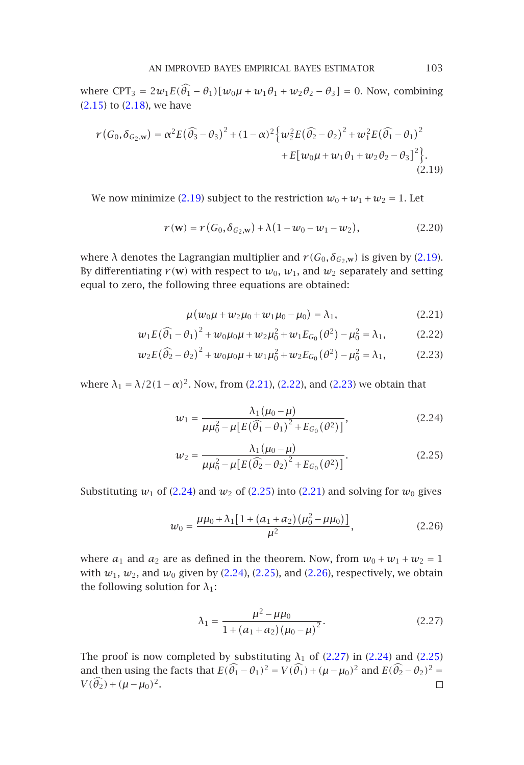## <span id="page-6-0"></span>AN IM[PROVE](#page-6-0)D BAYES EMPIRICAL BAYES ESTIMATOR 103

where  $CPT_3 = 2w_1E(\hat{\theta}_1 - \theta_1)[w_0\mu + w_1\theta_1 + w_2\theta_2 - \theta_3] = 0$ . Now, combining (2.15) to (2.18), we have

$$
r(G_0, \delta_{G_2, w}) = \alpha^2 E (\widehat{\theta}_3 - \theta_3)^2 + (1 - \alpha)^2 \Big\{ w_2^2 E (\widehat{\theta}_2 - \theta_2)^2 + w_1^2 E (\widehat{\theta}_1 - \theta_1)^2 + E[w_0 \mu + w_1 \theta_1 + w_2 \theta_2 - \theta_3]^2 \Big\}.
$$
\n(2.19)

We now minimize (2.19) subject to the restriction  $w_0 + w_1 + w_2 = 1$ . Let

<span id="page-6-3"></span><span id="page-6-2"></span><span id="page-6-1"></span>
$$
r(\mathbf{w}) = r(G_0, \delta_{G_2, \mathbf{w}}) + \lambda (1 - w_0 - w_1 - w_2),
$$
 (2.20)

where  $\lambda$  denotes the Lagrangian mu[ltiplie](#page-6-1)r [and](#page-6-2)  $r(G_0, \delta_{G_2,w})$  is given by (2.19). By differentiating  $r(w)$  with respect to  $w_0$ ,  $w_1$ , and  $w_2$  separately and setting equal to zero, the following three equations are obtained:

<span id="page-6-4"></span>
$$
\mu(w_0\mu + w_2\mu_0 + w_1\mu_0 - \mu_0) = \lambda_1, \qquad (2.21)
$$

$$
w_1 E(\widehat{\theta}_1 - \theta_1)^2 + w_0 \mu_0 \mu + w_2 \mu_0^2 + w_1 E_{G_0}(\theta^2) - \mu_0^2 = \lambda_1, \tag{2.22}
$$

$$
w_2 E(\widehat{\theta}_2 - \theta_2)^2 + w_0 \mu_0 \mu + w_1 \mu_0^2 + w_2 E_{G_0}(\theta^2) - \mu_0^2 = \lambda_1, \tag{2.23}
$$

where  $\lambda_1 = \lambda/2(1-\alpha)^2$ . Now, from (2.21), (2.22), and (2.23) we obtain that

$$
w_1 = \frac{\lambda_1(\mu_0 - \mu)}{\mu \mu_0^2 - \mu [E(\widehat{\theta}_1 - \theta_1)^2 + E_{G_0}(\theta^2)]},
$$
\n(2.24)

$$
w_2 = \frac{\lambda_1(\mu_0 - \mu)}{\mu \mu_0^2 - \mu [E(\widehat{\theta}_2 - \theta_2)^2 + E_{G_0}(\theta^2)]}.
$$
 (2.25)

Substituting  $w_1$  of (2.24) and  $w_2$  of (2.25) into (2.21) and solving for  $w_0$  gives

$$
w_0 = \frac{\mu\mu_0 + \lambda_1[1 + (a_1 + a_2)(\mu_0^2 - \mu\mu_0)]}{\mu^2},
$$
\n(2.26)

where  $a_1$  and  $a_2$  are as defined in the theorem. Now, from  $w_0 + w_1 + w_2 = 1$ with  $w_1$ ,  $w_2$ , and  $w_0$  given by (2.24), (2.25), and (2.26), respectively, we obtain the following solution for  $\lambda_1$ :

$$
\lambda_1 = \frac{\mu^2 - \mu \mu_0}{1 + (a_1 + a_2)(\mu_0 - \mu)^2}.
$$
\n(2.27)

The proof is now completed by substituting  $\lambda_1$  of (2.27) in (2.24) and (2.25) and then using the facts that  $E(\widehat{\theta_1} - \theta_1)^2 = V(\widehat{\theta_1}) + (\mu - \mu_0)^2$  and  $E(\widehat{\theta_2} - \theta_2)^2 =$  $V(\widehat{\theta}_2) + (\mu - \mu_0)^2$ .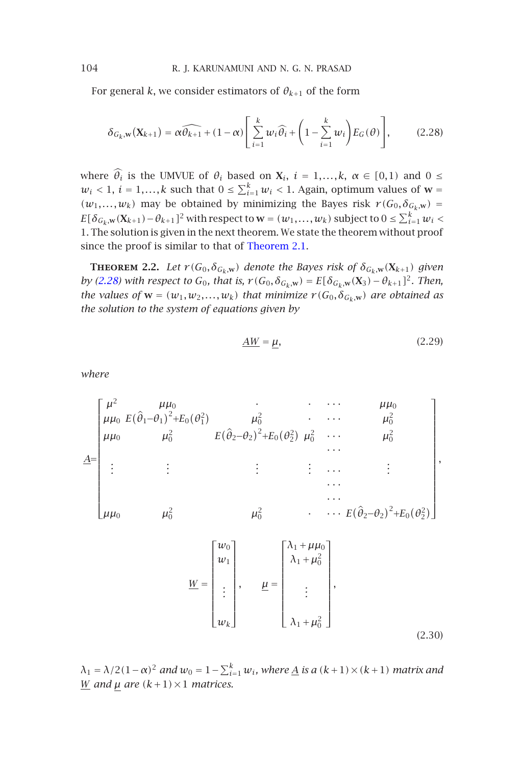For general *k*, we consider estimators of  $\theta_{k+1}$  of the form

$$
\delta_{G_k, \mathbf{w}}(\mathbf{X}_{k+1}) = \alpha \widehat{\theta_{k+1}} + (1 - \alpha) \Bigg[ \sum_{i=1}^k w_i \widehat{\theta_i} + \left( 1 - \sum_{i=1}^k w_i \right) E_G(\theta) \Bigg], \qquad (2.28)
$$

where  $\hat{\theta}_i$  is the UMVUE of  $\theta_i$  based on  $X_i$ ,  $i = 1,...,k$ ,  $\alpha \in [0,1)$  and  $0 \leq$  $w_i$  < 1,  $i = 1,...,k$  such that  $0 \le \sum_{i=1}^k w_i$  < 1. Again, optimum values of  $w =$  $(w_1, \ldots, w_k)$  may be obtained by minimizing the Bayes risk  $r(G_0, \delta_{G_k, w}) =$  $E[\delta_{G_k, \mathbf{w}}(\mathbf{X}_{k+1}) - \theta_{k+1}]^2$  with respect to  $\mathbf{w} = (w_1, \dots, w_k)$  subject to  $0 \le \sum_{i=1}^k w_i$ 1. The solution is given in the next theorem. We state the theorem without proof since the proof is similar to that of Theorem 2.1.

**THEOREM** 2.2. *Let*  $r(G_0, \delta_{G_k, \mathbf{w}})$  *denote the Bayes risk of*  $\delta_{G_k, \mathbf{w}}(\mathbf{X}_{k+1})$  *given by (2.28) with respect to*  $G_0$ *, that is,*  $r(G_0, \delta_{G_k, w}) = E[\delta_{G_k, w}(X_3) - \theta_{k+1}]^2$ *. Then, the values of*  $w = (w_1, w_2, ..., w_k)$  *that minimize*  $r(G_0, \delta_{G_k, w})$  *are obtained as the solution to the system of equations given by*

$$
\underline{AW} = \mu,\tag{2.29}
$$

*where*

$$
\underline{A} = \begin{bmatrix} \mu^2 & \mu \mu_0 \\ \mu \mu_0 & E(\hat{\theta}_1 - \theta_1)^2 + E_0(\theta_1^2) & \mu_0^2 & \cdots & \mu_0^2 \\ \mu \mu_0 & \mu_0^2 & E(\hat{\theta}_2 - \theta_2)^2 + E_0(\theta_2^2) & \mu_0^2 & \cdots & \mu_0^2 \\ \vdots & \vdots & \vdots & \vdots & \cdots & \vdots \\ \mu \mu_0 & \mu_0^2 & \mu_0^2 & \cdots & E(\hat{\theta}_2 - \theta_2)^2 + E_0(\theta_2^2) \end{bmatrix},
$$

$$
\underline{W} = \begin{bmatrix} w_0 \\ w_1 \\ \vdots \\ w_k \end{bmatrix}, \qquad \underline{\mu} = \begin{bmatrix} \lambda_1 + \mu \mu_0 \\ \lambda_1 + \mu_0^2 \\ \vdots \\ \lambda_1 + \mu_0^2 \end{bmatrix},
$$
\n
$$
(2.30)
$$

 $\lambda_1 = \lambda/2(1-\alpha)^2$  and  $w_0 = 1 - \sum_{i=1}^k w_i$ , where <u>A</u> is a  $(k+1) \times (k+1)$  matrix and *W and*  $\mu$  *are*  $(k+1) \times 1$  *matrices.*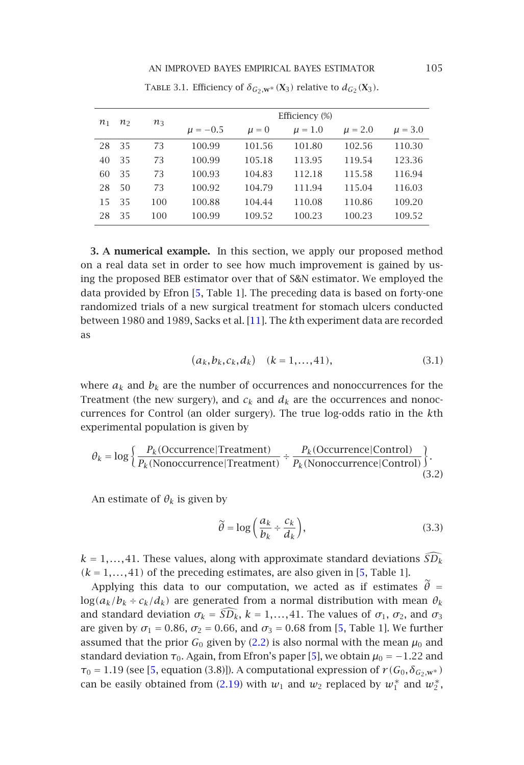### <span id="page-8-1"></span>AN IMPROVED BAYES EMPIRICAL BAYES ESTIMATOR 105

<span id="page-8-0"></span>

| n <sub>1</sub> | n <sub>2</sub> | $n_3$ | Efficiency (%) |           |             |             |             |
|----------------|----------------|-------|----------------|-----------|-------------|-------------|-------------|
|                |                |       | $\mu = -0.5$   | $\mu = 0$ | $\mu = 1.0$ | $\mu = 2.0$ | $\mu = 3.0$ |
| 28             | 35             | 73    | 100.99         | 101.56    | 101.80      | 102.56      | 110.30      |
| 40             | 35             | 73    | 100.99         | 105.18    | 113.95      | 119.54      | 123.36      |
| 60             | 35             | 73    | 100.93         | 104.83    | 112.18      | 115.58      | 116.94      |
| 28             | 50             | 73    | 100.92         | 104.79    | 111.94      | 115.04      | 116.03      |
| 15             | 35             | 100   | 100.88         | 104.44    | 110.08      | 110.86      | 109.20      |
| 28             | 35             | 100   | 100.99         | 109.52    | 100.23      | 100.23      | 109.52      |

TABLE 3.1. Efficiency of  $\delta_{G_2, \mathbf{W}^*}(\mathbf{X}_3)$  relative to  $d_{G_2}(\mathbf{X}_3)$ .

**3. A numerical example.** In this section, we apply our proposed method on a real data set in order to see how much improvement is gained by using the proposed BEB estimator over that of S&N estimator. We employed the data provided by Efron [5, Table 1]. The preceding data is based on forty-one randomized trials of a new surgical treatment for stomach ulcers conducted between 1980 and 1989, Sacks et al. [11]. The *k*th experiment data are recorded as

$$
(a_k, b_k, c_k, d_k) \quad (k = 1, \dots, 41), \tag{3.1}
$$

where  $a_k$  and  $b_k$  are the number of occurrences and nonoccurrences for the Treatment (the new surgery), and  $c_k$  and  $d_k$  are the occurrences and nonoccurrences for Control (an older surgery). The true log-odds ratio in the *k*th experimental population is given by

$$
\theta_k = \log \left\{ \frac{P_k(\text{Occurrence} | \text{Tractment})}{P_k(\text{Nonoccurrence} | \text{Tractment})} \div \frac{P_k(\text{Occurrence} | \text{Control})}{P_k(\text{Nonoccurrence} | \text{Control})} \right\}.
$$
\n(3.2)

An estimate of  $\theta_k$  is given by

$$
\widetilde{\theta} = \log\left(\frac{a_k}{b_k} \div \frac{c_k}{d_k}\right),\tag{3.3}
$$

 $k = 1, \ldots, 41$ . These values, a[long w](#page-6-0)ith approximate standard deviations  $\widehat{SD}_k$  $(k = 1, \ldots, 41)$  of the preceding estimates, are also given in [5, Table 1].

Applying this data to our computation, we acted as if estimates  $\tilde{\theta}$  =  $log(a_k/b_k \div c_k/d_k)$  are generated from a normal distribution with mean  $\theta_k$ and standard deviation  $\sigma_k = \widehat{SD_k}$ ,  $k = 1, ..., 41$ . The values of  $\sigma_1$ ,  $\sigma_2$ , and  $\sigma_3$ are given by  $\sigma_1 = 0.86$ ,  $\sigma_2 = 0.66$ , and  $\sigma_3 = 0.68$  from [5, Table 1]. We further assumed that the prior  $G_0$  given by (2.2) is also normal with the mean  $\mu_0$  and standard deviation  $\tau_0$ . Again, from Efron's paper [5], we obtain  $\mu_0 = -1.22$  and  $\tau_0 = 1.19$  (see [5, equation (3.8)]). A computational expression of  $r(G_0, \delta_{G_2, w^*})$ can be easily obtained from (2.19) with  $w_1$  and  $w_2$  replaced by  $w_1^*$  and  $w_2^*$ ,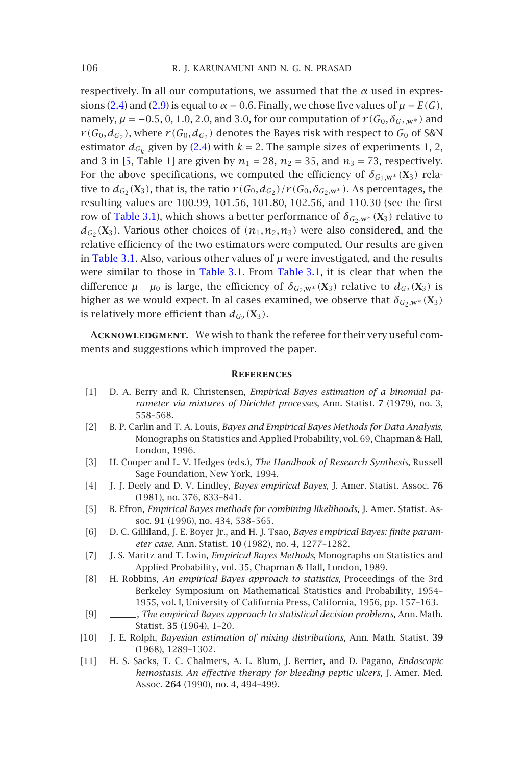respec[tively. In a](#page-8-1)ll our computations, we assumed that the  $\alpha$  used in expressions (2.4) and (2.9) is equal to  $\alpha$  = 0.6. Finally, we chose five values of  $\mu$  =  $E(G)$ , namely,  $\mu$  = −0.5, 0, 1.0, 2.0, and 3.0, for our computation of  $r$  ( $G_0$ , $\delta$ <sub> $G_2$ ,**w**<sup>∗</sup>) and</sub>  $r(G_0,d_{G_2})$ , where  $r(G_0,d_{G_2})$  denotes the Bayes risk with respect to  $G_0$  of S&N estimator  $d_{G_k}$  given by ([2.4\) with](#page-8-1)  $k = 2$ . T[he sample](#page-8-1) sizes of experiments 1, 2, and 3 in [5, Table 1] are given by  $n_1 = 28$ ,  $n_2 = 35$ , and  $n_3 = 73$ , respectively. For the above specifications, we computed the efficiency of  $\delta_{G_2,W^*}(\mathbf{X}_3)$  relative to  $d_{G_2}(X_3)$ , that is, the ratio  $r(G_0, d_{G_2})/r(G_0, \delta_{G_2, \mathbf{w}^*})$ . As percentages, the resulting values are 100*.*99, 101*.*56, 101*.*80, 102*.*56, and 110*.*30 (see the first row of Table 3.1), which shows a better performance of  $\delta_{G_2, w^*}(\mathbf{X}_3)$  relative to  $d_{G_2}$  (**X**<sub>3</sub>). Various other choices of  $(n_1, n_2, n_3)$  were also considered, and the relative efficiency of the two estimators were computed. Our results are given in Table 3.1. Also, various other values of  $\mu$  were investigated, and the results were similar to those in Table 3.1. From Table 3.1, it is clear that when the difference  $\mu - \mu_0$  is large, the efficiency of  $\delta_{G_2, \mathbf{W}^*}(\mathbf{X}_3)$  relative to  $d_{G_2}(\mathbf{X}_3)$  is higher as we would expect. In al cases examined, we observe that  $\delta_{G_2,\mathbf{w}^*}(\mathbf{X}_3)$ is relatively more efficient than  $d_{G_2}(\mathbf{X}_3)$ .

<span id="page-9-6"></span><span id="page-9-4"></span><span id="page-9-2"></span><span id="page-9-1"></span>ACKNOWLEDGMENT. We wish to thank the referee for their very useful comments and suggestions which improved the paper.

#### **References**

- <span id="page-9-7"></span><span id="page-9-5"></span>[1] D. A. Berry and R. Christensen, *Empirical Bayes estimation of a binomial parameter via mixtures of Dirichlet processes*, Ann. Statist. **7** (1979), no. 3, 558–568.
- <span id="page-9-0"></span>[2] B. P. Carlin and T. A. Louis, *Bayes and Empirical Bayes Methods for Data Analysis*, Monographs on Statistics and Applied Probability, vol. 69, Chapman & Hall, London, 1996.
- [3] H. Cooper and L. V. Hedges (eds.), *The Handbook of Research Synthesis*, Russell Sage Foundation, New York, 1994.
- [4] J. J. Deely and D. V. Lindley, *Bayes empirical Bayes*, J. Amer. Statist. Assoc. **76** (1981), no. 376, 833–841.
- <span id="page-9-3"></span>[5] B. Efron, *Empirical Bayes methods for combining likelihoods*, J. Amer. Statist. Assoc. **91** (1996), no. 434, 538–565.
- <span id="page-9-8"></span>[6] D. C. Gilliland, J. E. Boyer Jr., and H. J. Tsao, *Bayes empirical Bayes: finite parameter case*, Ann. Statist. **10** (1982), no. 4, 1277–1282.
- [7] J. S. Maritz and T. Lwin, *Empirical Bayes Methods*, Monographs on Statistics and Applied Probability, vol. 35, Chapman & Hall, London, 1989.
- [8] H. Robbins, *An empirical Bayes approach to statistics*, Proceedings of the 3rd Berkeley Symposium on Mathematical Statistics and Probability, 1954– 1955, vol. I, University of California Press, California, 1956, pp. 157–163.
- [9] , *The empirical Bayes approach to statistical decision problems*, Ann. Math. Statist. **35** (1964), 1–20.
- [10] J. E. Rolph, *Bayesian estimation of mixing distributions*, Ann. Math. Statist. **39** (1968), 1289–1302.
- [11] H. S. Sacks, T. C. Chalmers, A. L. Blum, J. Berrier, and D. Pagano, *Endoscopic hemostasis. An effective therapy for bleeding peptic ulcers*, J. Amer. Med. Assoc. **264** (1990), no. 4, 494–499.